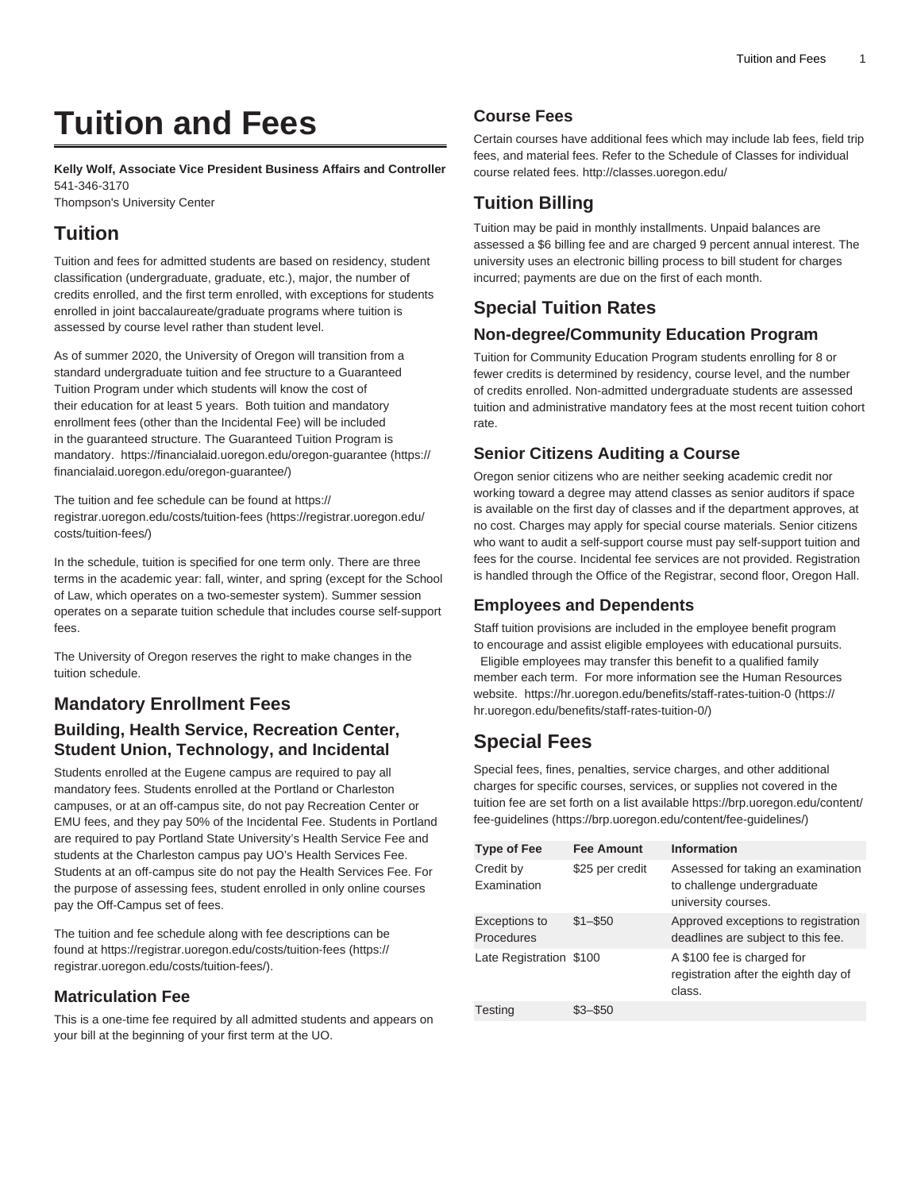# **Tuition and Fees**

**Kelly Wolf, Associate Vice President Business Affairs and Controller** 541-346-3170

Thompson's University Center

## **Tuition**

Tuition and fees for admitted students are based on residency, student classification (undergraduate, graduate, etc.), major, the number of credits enrolled, and the first term enrolled, with exceptions for students enrolled in joint baccalaureate/graduate programs where tuition is assessed by course level rather than student level.

As of summer 2020, the University of Oregon will transition from a standard undergraduate tuition and fee structure to a Guaranteed Tuition Program under which students will know the cost of their education for at least 5 years. Both tuition and mandatory enrollment fees (other than the Incidental Fee) will be included in the guaranteed structure. The Guaranteed Tuition Program is mandatory. [https://financialaid.uoregon.edu/oregon-guarantee](https://financialaid.uoregon.edu/oregon-guarantee/) [\(https://](https://financialaid.uoregon.edu/oregon-guarantee/) [financialaid.uoregon.edu/oregon-guarantee/](https://financialaid.uoregon.edu/oregon-guarantee/))

The tuition and fee schedule can be found at [https://](https://registrar.uoregon.edu/costs/tuition-fees/) [registrar.uoregon.edu/costs/tuition-fees](https://registrar.uoregon.edu/costs/tuition-fees/) ([https://registrar.uoregon.edu/](https://registrar.uoregon.edu/costs/tuition-fees/) [costs/tuition-fees/](https://registrar.uoregon.edu/costs/tuition-fees/))

In the schedule, tuition is specified for one term only. There are three terms in the academic year: fall, winter, and spring (except for the School of Law, which operates on a two-semester system). Summer session operates on a separate tuition schedule that includes course self-support fees.

The University of Oregon reserves the right to make changes in the tuition schedule.

## **Mandatory Enrollment Fees**

#### **Building, Health Service, Recreation Center, Student Union, Technology, and Incidental**

Students enrolled at the Eugene campus are required to pay all mandatory fees. Students enrolled at the Portland or Charleston campuses, or at an off-campus site, do not pay Recreation Center or EMU fees, and they pay 50% of the Incidental Fee. Students in Portland are required to pay Portland State University's Health Service Fee and students at the Charleston campus pay UO's Health Services Fee. Students at an off-campus site do not pay the Health Services Fee. For the purpose of assessing fees, student enrolled in only online courses pay the Off-Campus set of fees.

The tuition and fee schedule along with fee descriptions can be found at [https://registrar.uoregon.edu/costs/tuition-fees](https://registrar.uoregon.edu/costs/tuition-fees/) ([https://](https://registrar.uoregon.edu/costs/tuition-fees/) [registrar.uoregon.edu/costs/tuition-fees/\)](https://registrar.uoregon.edu/costs/tuition-fees/).

#### **Matriculation Fee**

This is a one-time fee required by all admitted students and appears on your bill at the beginning of your first term at the UO.

### **Course Fees**

Certain courses have additional fees which may include lab fees, field trip fees, and material fees. Refer to the Schedule of Classes for individual course related fees.<http://classes.uoregon.edu/>

## **Tuition Billing**

Tuition may be paid in monthly installments. Unpaid balances are assessed a \$6 billing fee and are charged 9 percent annual interest. The university uses an electronic billing process to bill student for charges incurred; payments are due on the first of each month.

## **Special Tuition Rates**

#### **Non-degree/Community Education Program**

Tuition for Community Education Program students enrolling for 8 or fewer credits is determined by residency, course level, and the number of credits enrolled. Non-admitted undergraduate students are assessed tuition and administrative mandatory fees at the most recent tuition cohort rate.

## **Senior Citizens Auditing a Course**

Oregon senior citizens who are neither seeking academic credit nor working toward a degree may attend classes as senior auditors if space is available on the first day of classes and if the department approves, at no cost. Charges may apply for special course materials. Senior citizens who want to audit a self-support course must pay self-support tuition and fees for the course. Incidental fee services are not provided. Registration is handled through the Office of the Registrar, second floor, Oregon Hall.

#### **Employees and Dependents**

Staff tuition provisions are included in the employee benefit program to encourage and assist eligible employees with educational pursuits. Eligible employees may transfer this benefit to a qualified family member each term. For more information see the Human Resources website. [https://hr.uoregon.edu/benefits/staff-rates-tuition-0](https://hr.uoregon.edu/benefits/staff-rates-tuition-0/) [\(https://](https://hr.uoregon.edu/benefits/staff-rates-tuition-0/) [hr.uoregon.edu/benefits/staff-rates-tuition-0/\)](https://hr.uoregon.edu/benefits/staff-rates-tuition-0/)

# **Special Fees**

Special fees, fines, penalties, service charges, and other additional charges for specific courses, services, or supplies not covered in the tuition fee are set forth on a list available [https://brp.uoregon.edu/content/](https://brp.uoregon.edu/content/fee-guidelines/) [fee-guidelines](https://brp.uoregon.edu/content/fee-guidelines/) (<https://brp.uoregon.edu/content/fee-guidelines/>)

| <b>Type of Fee</b>              | <b>Fee Amount</b> | Information                                                                             |
|---------------------------------|-------------------|-----------------------------------------------------------------------------------------|
| Credit by<br><b>Examination</b> | \$25 per credit   | Assessed for taking an examination<br>to challenge undergraduate<br>university courses. |
| Exceptions to<br>Procedures     | $$1 - $50$        | Approved exceptions to registration<br>deadlines are subject to this fee.               |
| Late Registration \$100         |                   | A \$100 fee is charged for<br>registration after the eighth day of<br>class.            |
| <b>Testing</b>                  |                   |                                                                                         |